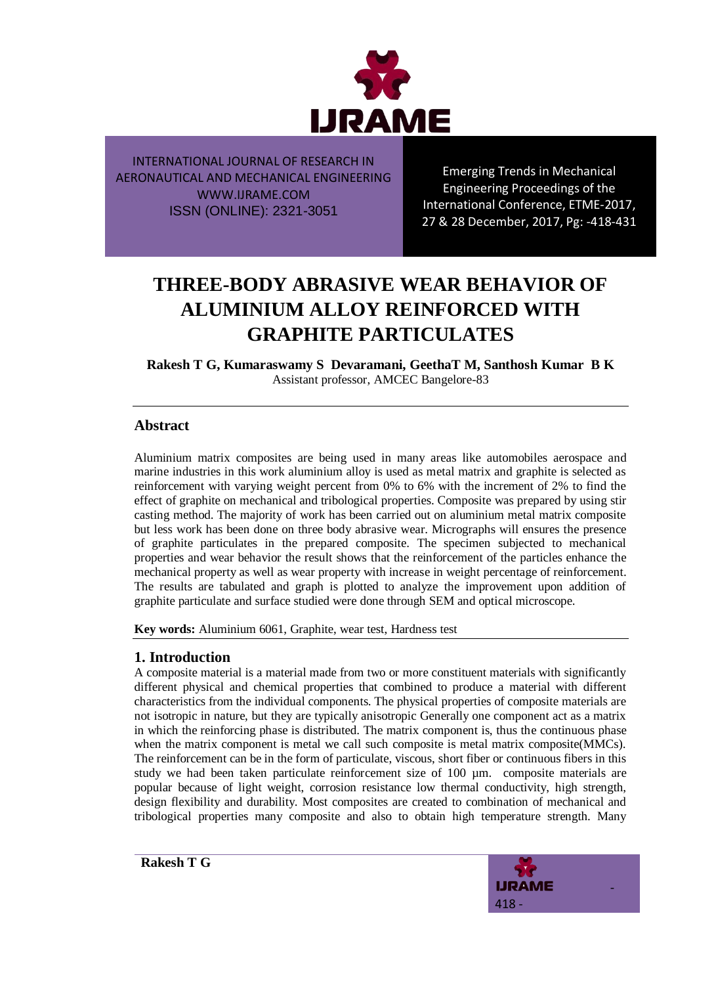

Emerging Trends in Mechanical Engineering Proceedings of the International Conference, ETME-2017, 27 & 28 December, 2017, Pg: -418-431

# **THREE-BODY ABRASIVE WEAR BEHAVIOR OF ALUMINIUM ALLOY REINFORCED WITH GRAPHITE PARTICULATES**

**Rakesh T G, Kumaraswamy S Devaramani, GeethaT M, Santhosh Kumar B K** Assistant professor, AMCEC Bangelore-83

# **Abstract**

Aluminium matrix composites are being used in many areas like automobiles aerospace and marine industries in this work aluminium alloy is used as metal matrix and graphite is selected as reinforcement with varying weight percent from 0% to 6% with the increment of 2% to find the effect of graphite on mechanical and tribological properties. Composite was prepared by using stir casting method. The majority of work has been carried out on aluminium metal matrix composite but less work has been done on three body abrasive wear. Micrographs will ensures the presence of graphite particulates in the prepared composite. The specimen subjected to mechanical properties and wear behavior the result shows that the reinforcement of the particles enhance the mechanical property as well as wear property with increase in weight percentage of reinforcement. The results are tabulated and graph is plotted to analyze the improvement upon addition of graphite particulate and surface studied were done through SEM and optical microscope.

**Key words:** Aluminium 6061, Graphite, wear test, Hardness test

# **1. Introduction**

A composite material is a material made from two or more constituent materials with significantly different physical and chemical properties that combined to produce a material with different characteristics from the individual components. The physical properties of composite materials are not isotropic in nature, but they are typically anisotropic Generally one component act as a matrix in which the reinforcing phase is distributed. The matrix component is, thus the continuous phase when the matrix component is metal we call such composite is metal matrix composite(MMCs). The reinforcement can be in the form of particulate, viscous, short fiber or continuous fibers in this study we had been taken particulate reinforcement size of 100 µm. composite materials are popular because of light weight, corrosion resistance low thermal conductivity, high strength, design flexibility and durability. Most composites are created to combination of mechanical and tribological properties many composite and also to obtain high temperature strength. Many

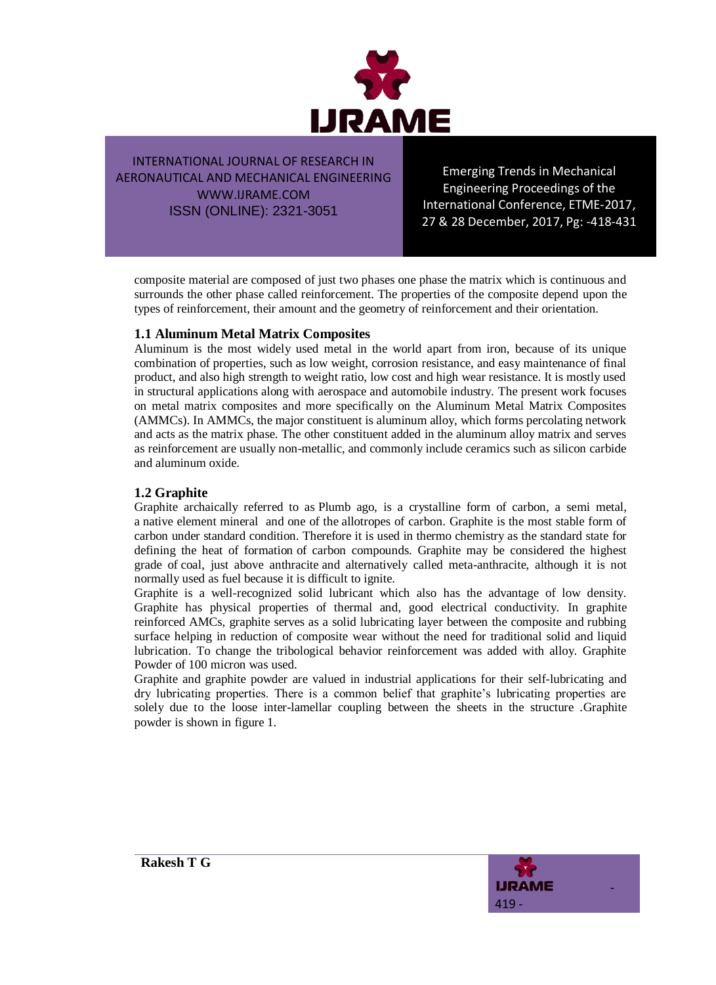

Emerging Trends in Mechanical Engineering Proceedings of the International Conference, ETME-2017, 27 & 28 December, 2017, Pg: -418-431

composite material are composed of just two phases one phase the matrix which is continuous and surrounds the other phase called reinforcement. The properties of the composite depend upon the types of reinforcement, their amount and the geometry of reinforcement and their orientation.

## **1.1 Aluminum Metal Matrix Composites**

Aluminum is the most widely used metal in the world apart from iron, because of its unique combination of properties, such as low weight, corrosion resistance, and easy maintenance of final product, and also high strength to weight ratio, low cost and high wear resistance. It is mostly used in structural applications along with aerospace and automobile industry. The present work focuses on metal matrix composites and more specifically on the Aluminum Metal Matrix Composites (AMMCs). In AMMCs, the major constituent is aluminum alloy, which forms percolating network and acts as the matrix phase. The other constituent added in the aluminum alloy matrix and serves as reinforcement are usually non-metallic, and commonly include ceramics such as silicon carbide and aluminum oxide.

## **1.2 Graphite**

Graphite archaically referred to as Plumb ago, is a crystalline form of carbon, a semi metal, a native element mineral and one of the allotropes of carbon. Graphite is the most stable form of carbon under standard condition. Therefore it is used in thermo chemistry as the standard state for defining the heat of formation of carbon compounds. Graphite may be considered the highest grade of coal, just above anthracite and alternatively called meta-anthracite, although it is not normally used as fuel because it is difficult to ignite.

Graphite is a well-recognized solid lubricant which also has the advantage of low density. Graphite has physical properties of thermal and, good electrical conductivity. In graphite reinforced AMCs, graphite serves as a solid lubricating layer between the composite and rubbing surface helping in reduction of composite wear without the need for traditional solid and liquid lubrication. To change the tribological behavior reinforcement was added with alloy. Graphite Powder of 100 micron was used.

Graphite and graphite powder are valued in industrial applications for their self-lubricating and dry lubricating properties. There is a common belief that graphite's lubricating properties are solely due to the loose inter-lamellar coupling between the sheets in the structure .Graphite powder is shown in figure 1.

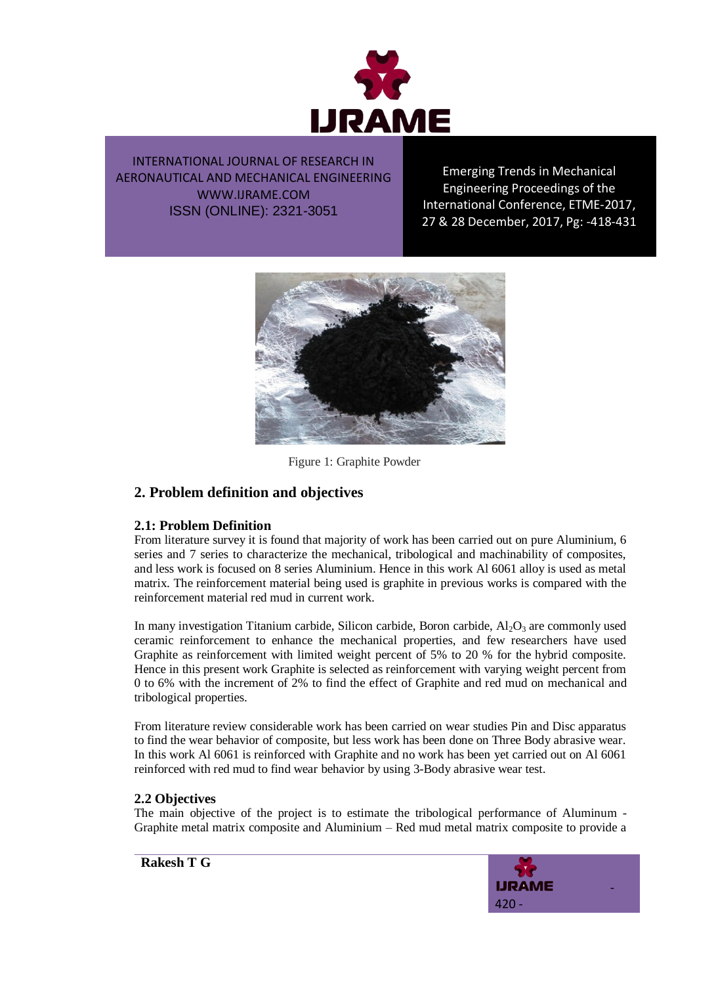

Emerging Trends in Mechanical Engineering Proceedings of the International Conference, ETME-2017, 27 & 28 December, 2017, Pg: -418-431



Figure 1: Graphite Powder

# **2. Problem definition and objectives**

## **2.1: Problem Definition**

From literature survey it is found that majority of work has been carried out on pure Aluminium, 6 series and 7 series to characterize the mechanical, tribological and machinability of composites, and less work is focused on 8 series Aluminium. Hence in this work Al 6061 alloy is used as metal matrix. The reinforcement material being used is graphite in previous works is compared with the reinforcement material red mud in current work.

In many investigation Titanium carbide, Silicon carbide, Boron carbide,  $Al_2O_3$  are commonly used ceramic reinforcement to enhance the mechanical properties, and few researchers have used Graphite as reinforcement with limited weight percent of 5% to 20 % for the hybrid composite. Hence in this present work Graphite is selected as reinforcement with varying weight percent from 0 to 6% with the increment of 2% to find the effect of Graphite and red mud on mechanical and tribological properties.

From literature review considerable work has been carried on wear studies Pin and Disc apparatus to find the wear behavior of composite, but less work has been done on Three Body abrasive wear. In this work Al 6061 is reinforced with Graphite and no work has been yet carried out on Al 6061 reinforced with red mud to find wear behavior by using 3-Body abrasive wear test.

## **2.2 Objectives**

The main objective of the project is to estimate the tribological performance of Aluminum - Graphite metal matrix composite and Aluminium – Red mud metal matrix composite to provide a

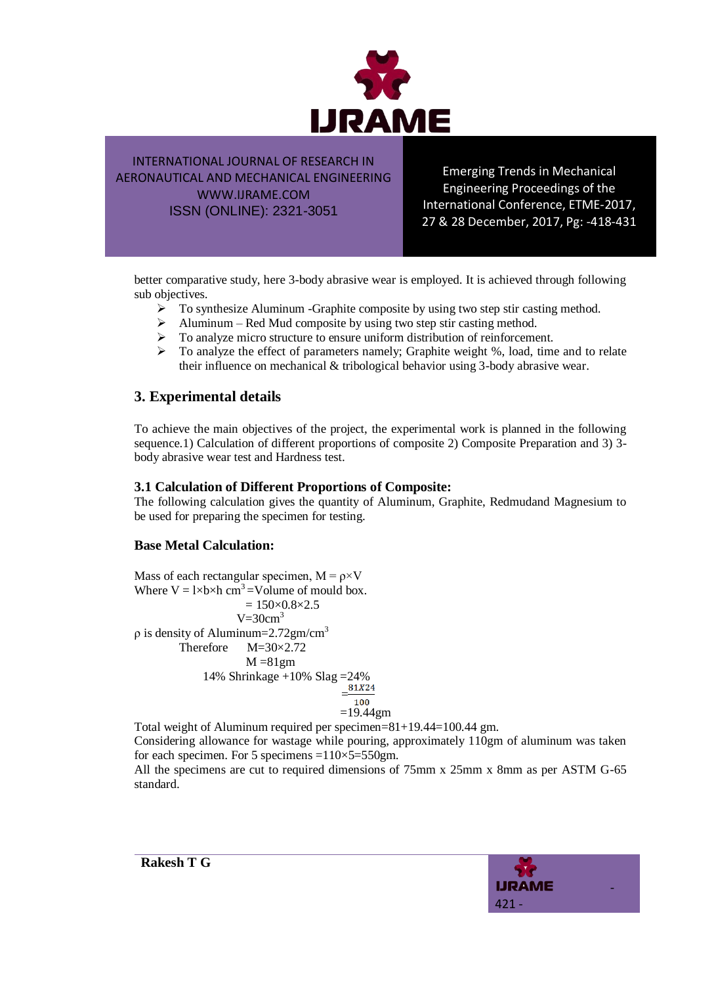

Emerging Trends in Mechanical Engineering Proceedings of the International Conference, ETME-2017, 27 & 28 December, 2017, Pg: -418-431

better comparative study, here 3-body abrasive wear is employed. It is achieved through following sub objectives.

- $\triangleright$  To synthesize Aluminum -Graphite composite by using two step stir casting method.
- $\triangleright$  Aluminum Red Mud composite by using two step stir casting method.
- $\triangleright$  To analyze micro structure to ensure uniform distribution of reinforcement.
- $\triangleright$  To analyze the effect of parameters namely; Graphite weight %, load, time and to relate their influence on mechanical & tribological behavior using 3-body abrasive wear.

# **3. Experimental details**

To achieve the main objectives of the project, the experimental work is planned in the following sequence.1) Calculation of different proportions of composite 2) Composite Preparation and 3) 3 body abrasive wear test and Hardness test.

## **3.1 Calculation of Different Proportions of Composite:**

The following calculation gives the quantity of Aluminum, Graphite, Redmudand Magnesium to be used for preparing the specimen for testing.

## **Base Metal Calculation:**

Mass of each rectangular specimen,  $M = \rho \times V$ Where  $V = 1 \times b \times h$  cm<sup>3</sup> = Volume of mould box.  $= 150 \times 0.8 \times 2.5$  $V=30cm<sup>3</sup>$  $ρ$  is density of Aluminum=2.72gm/cm<sup>3</sup> Therefore M=30×2.72  $M = 81gm$ 14% Shrinkage +10% Slag =  $24\%$ <br>81X24  $=$  $=19.44$ gm

Total weight of Aluminum required per specimen=81+19.44=100.44 gm.

Considering allowance for wastage while pouring, approximately 110gm of aluminum was taken for each specimen. For 5 specimens = $110\times5=550$ gm.

All the specimens are cut to required dimensions of 75mm x 25mm x 8mm as per ASTM G-65 standard.

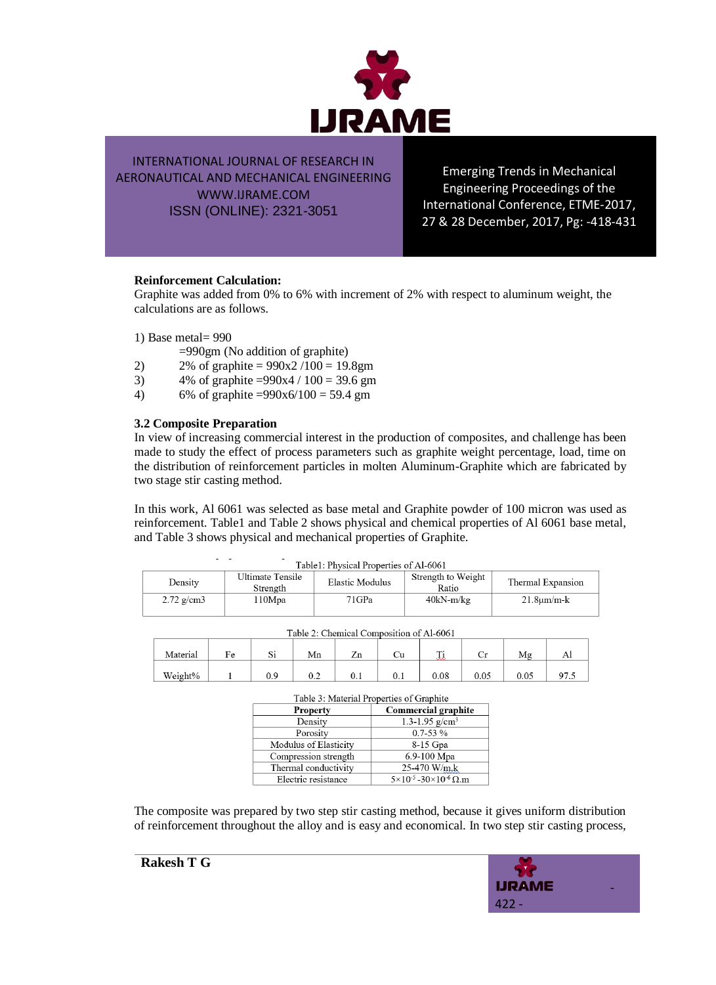

Emerging Trends in Mechanical Engineering Proceedings of the International Conference, ETME-2017, 27 & 28 December, 2017, Pg: -418-431

#### **Reinforcement Calculation:**

Graphite was added from 0% to 6% with increment of 2% with respect to aluminum weight, the calculations are as follows.

1) Base metal= 990

=990gm (No addition of graphite)

- 2) 2% of graphite =  $990x2/100 = 19.8gm$
- 3)  $4\%$  of graphite =990x4 / 100 = 39.6 gm
- 4) 6% of graphite = $990x6/100 = 59.4$  gm

#### **3.2 Composite Preparation**

In view of increasing commercial interest in the production of composites, and challenge has been made to study the effect of process parameters such as graphite weight percentage, load, time on the distribution of reinforcement particles in molten Aluminum-Graphite which are fabricated by two stage stir casting method.

In this work, Al 6061 was selected as base metal and Graphite powder of 100 micron was used as reinforcement. Table1 and Table 2 shows physical and chemical properties of Al 6061 base metal, and Table 3 shows physical and mechanical properties of Graphite.

| Table1: Physical Properties of Al-6061 |              |                              |                 |                             |                      |  |  |  |
|----------------------------------------|--------------|------------------------------|-----------------|-----------------------------|----------------------|--|--|--|
|                                        | Density      | Ultimate Tensile<br>Strength | Elastic Modulus | Strength to Weight<br>Ratio | Thermal Expansion    |  |  |  |
|                                        | $2.72$ g/cm3 | l 10Mpa                      | 71GPa           | $40kN-m/kg$                 | $21.8 \text{µm/m-k}$ |  |  |  |

| Table 2: Chemical Composition of Al-6061 |    |     |     |    |  |                      |      |      |  |
|------------------------------------------|----|-----|-----|----|--|----------------------|------|------|--|
| Material                                 | Fе | IJΙ | Mn  | Ζn |  | $\overline{ }$<br>ست |      |      |  |
| Weight%                                  |    |     | ∪.∠ |    |  | 0.08                 | 0.05 | 0.05 |  |

| Table 3: Material Properties of Graphite |                                              |  |  |  |
|------------------------------------------|----------------------------------------------|--|--|--|
| <b>Property</b>                          | <b>Commercial graphite</b>                   |  |  |  |
| Density                                  | 1.3-1.95 $g/cm3$                             |  |  |  |
| Porosity                                 | $0.7 - 53 \%$                                |  |  |  |
| Modulus of Elasticity                    | 8-15 Gpa                                     |  |  |  |
| Compression strength                     | 6.9-100 Mpa                                  |  |  |  |
| Thermal conductivity                     | 25-470 W/m.k                                 |  |  |  |
| Electric resistance                      | $5 \times 10^{-5}$ - 30×10 <sup>-6</sup> Ω.m |  |  |  |

The composite was prepared by two step stir casting method, because it gives uniform distribution of reinforcement throughout the alloy and is easy and economical. In two step stir casting process,



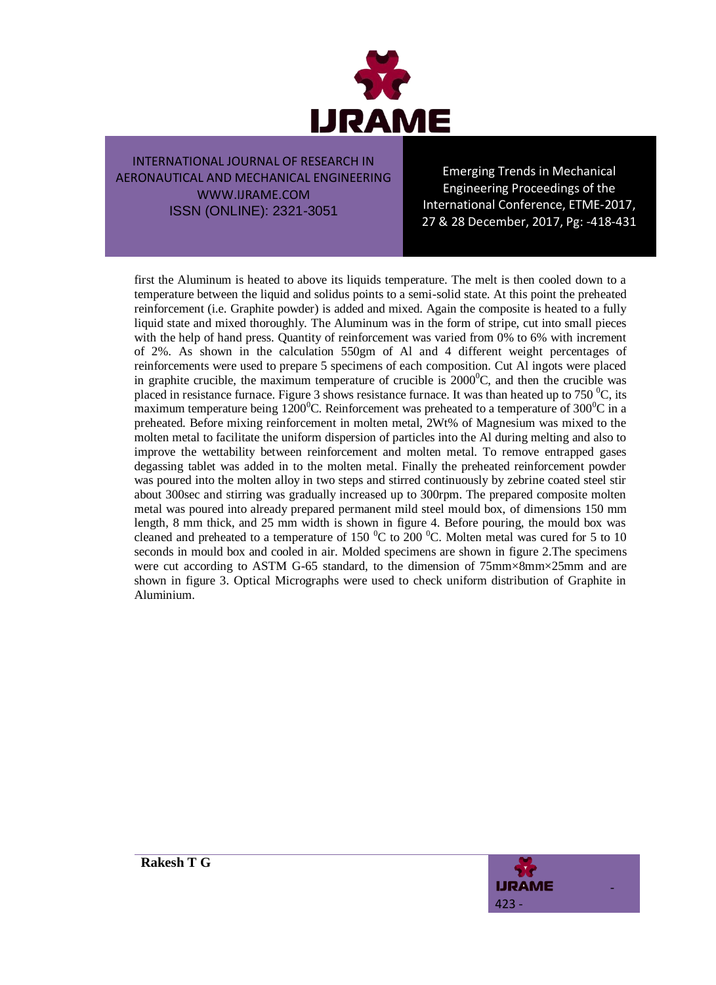

Emerging Trends in Mechanical Engineering Proceedings of the International Conference, ETME-2017, 27 & 28 December, 2017, Pg: -418-431

first the Aluminum is heated to above its liquids temperature. The melt is then cooled down to a temperature between the liquid and solidus points to a semi-solid state. At this point the preheated reinforcement (i.e. Graphite powder) is added and mixed. Again the composite is heated to a fully liquid state and mixed thoroughly. The Aluminum was in the form of stripe, cut into small pieces with the help of hand press. Quantity of reinforcement was varied from 0% to 6% with increment of 2%. As shown in the calculation 550gm of Al and 4 different weight percentages of reinforcements were used to prepare 5 specimens of each composition. Cut Al ingots were placed in graphite crucible, the maximum temperature of crucible is  $2000^{\circ}$ C, and then the crucible was placed in resistance furnace. Figure 3 shows resistance furnace. It was than heated up to 750  $^{\circ}$ C, its maximum temperature being  $1200^{\circ}$ C. Reinforcement was preheated to a temperature of 300 $^{\circ}$ C in a preheated. Before mixing reinforcement in molten metal, 2Wt% of Magnesium was mixed to the molten metal to facilitate the uniform dispersion of particles into the Al during melting and also to improve the wettability between reinforcement and molten metal. To remove entrapped gases degassing tablet was added in to the molten metal. Finally the preheated reinforcement powder was poured into the molten alloy in two steps and stirred continuously by zebrine coated steel stir about 300sec and stirring was gradually increased up to 300rpm. The prepared composite molten metal was poured into already prepared permanent mild steel mould box, of dimensions 150 mm length, 8 mm thick, and 25 mm width is shown in figure 4. Before pouring, the mould box was cleaned and preheated to a temperature of 150  $^{\circ}$ C to 200  $^{\circ}$ C. Molten metal was cured for 5 to 10 seconds in mould box and cooled in air. Molded specimens are shown in figure 2.The specimens were cut according to ASTM G-65 standard, to the dimension of  $75 \text{mm} \times 8 \text{mm} \times 25 \text{mm}$  and are shown in figure 3. Optical Micrographs were used to check uniform distribution of Graphite in Aluminium.

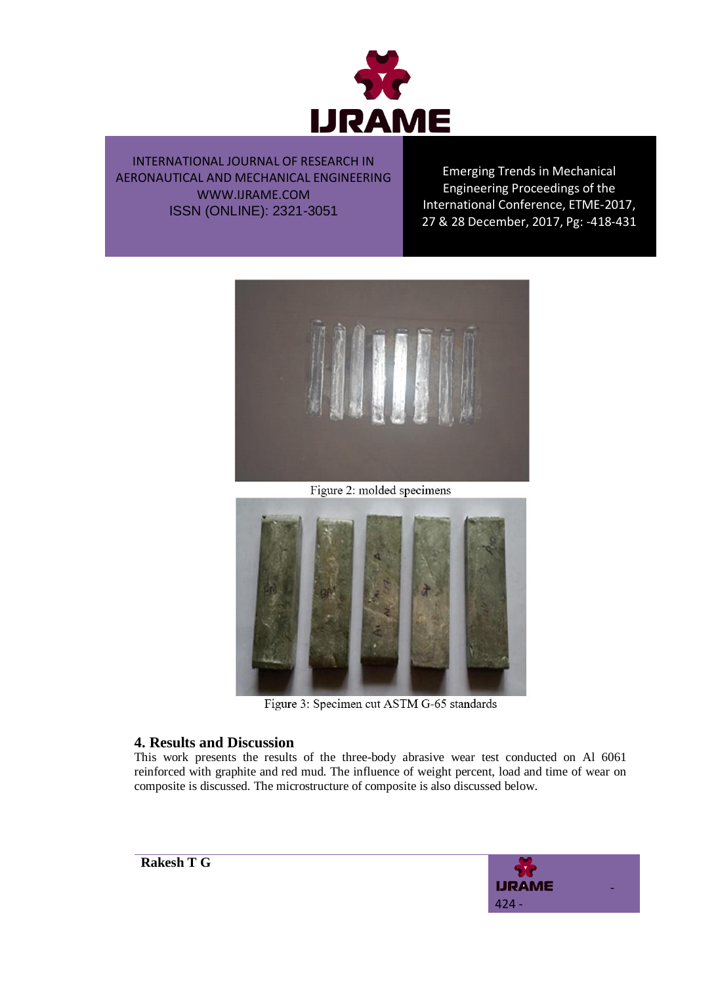

Emerging Trends in Mechanical Engineering Proceedings of the International Conference, ETME-2017, 27 & 28 December, 2017, Pg: -418-431



Figure 2: molded specimens



Figure 3: Specimen cut ASTM G-65 standards

# **4. Results and Discussion**

This work presents the results of the three-body abrasive wear test conducted on Al 6061 reinforced with graphite and red mud. The influence of weight percent, load and time of wear on composite is discussed. The microstructure of composite is also discussed below.

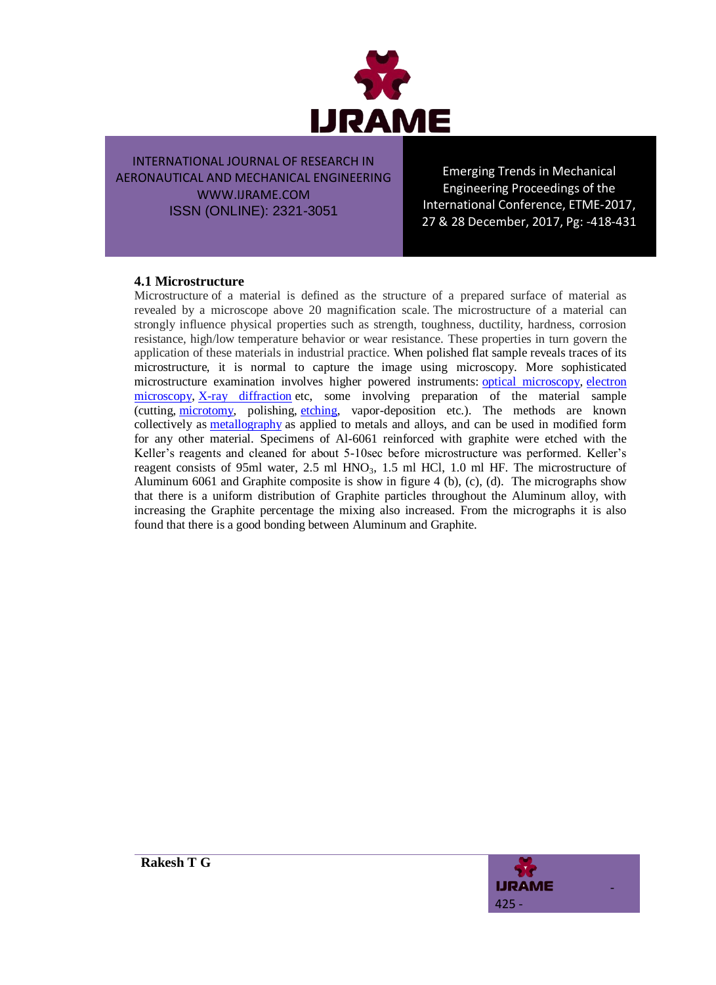

Emerging Trends in Mechanical Engineering Proceedings of the International Conference, ETME-2017, 27 & 28 December, 2017, Pg: -418-431

### **4.1 Microstructure**

Microstructure of a material is defined as the structure of a prepared surface of material as revealed by a microscope above 20 magnification scale. The microstructure of a material can strongly influence physical properties such as strength, toughness, ductility, hardness, corrosion resistance, high/low temperature behavior or wear resistance. These properties in turn govern the application of these materials in industrial practice. When polished flat sample reveals traces of its microstructure, it is normal to capture the image using microscopy. More sophisticated microstructure examination involves higher powered instruments: [optical microscopy,](https://en.wikipedia.org/wiki/Optical_microscopy) [electron](https://en.wikipedia.org/wiki/Electron_microscopy)  [microscopy,](https://en.wikipedia.org/wiki/Electron_microscopy) [X-ray diffraction](https://en.wikipedia.org/wiki/X-ray_diffraction) etc, some involving preparation of the material sample (cutting, [microtomy,](https://en.wikipedia.org/wiki/Microtomy) polishing, [etching,](https://en.wikipedia.org/wiki/Etching) vapor-deposition etc.). The methods are known collectively as **[metallography](https://en.wikipedia.org/wiki/Metallography)** as applied to metals and alloys, and can be used in modified form for any other material. Specimens of Al-6061 reinforced with graphite were etched with the Keller's reagents and cleaned for about 5-10sec before microstructure was performed. Keller's reagent consists of 95ml water, 2.5 ml  $HNO<sub>3</sub>$ , 1.5 ml HCl, 1.0 ml HF. The microstructure of Aluminum 6061 and Graphite composite is show in figure 4 (b), (c), (d). The micrographs show that there is a uniform distribution of Graphite particles throughout the Aluminum alloy, with increasing the Graphite percentage the mixing also increased. From the micrographs it is also found that there is a good bonding between Aluminum and Graphite.

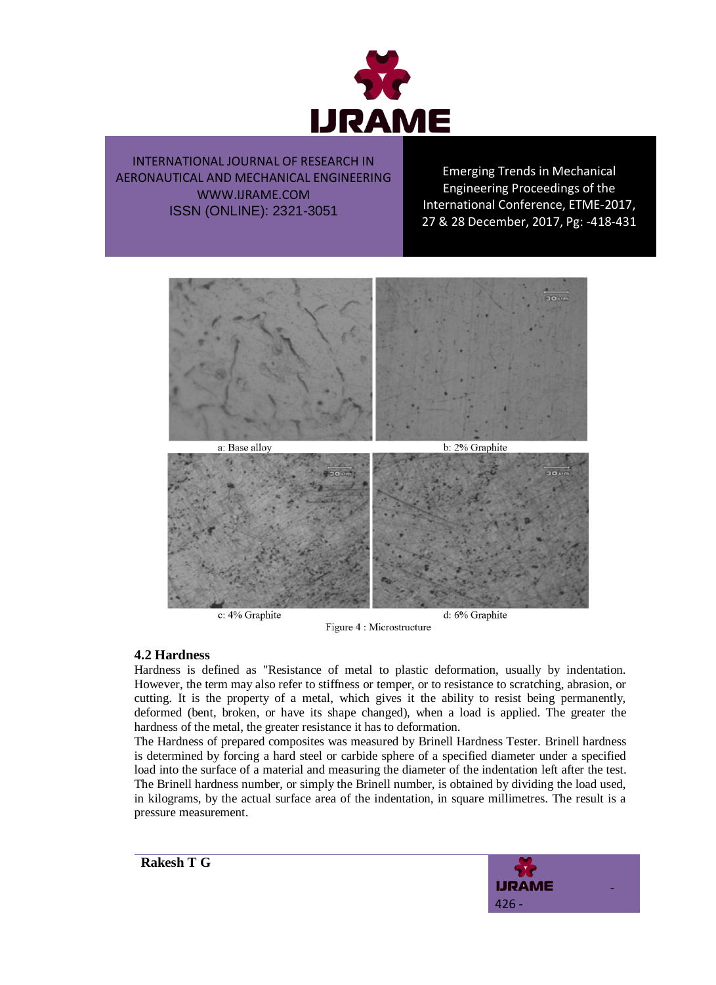

Emerging Trends in Mechanical Engineering Proceedings of the International Conference, ETME-2017, 27 & 28 December, 2017, Pg: -418-431



Figure 4 : Microstructure

#### **4.2 Hardness**

Hardness is defined as "Resistance of metal to plastic deformation, usually by indentation. However, the term may also refer to stiffness or temper, or to resistance to scratching, abrasion, or cutting. It is the property of a metal, which gives it the ability to resist being permanently, deformed (bent, broken, or have its shape changed), when a load is applied. The greater the hardness of the metal, the greater resistance it has to deformation.

The Hardness of prepared composites was measured by Brinell Hardness Tester. Brinell hardness is determined by forcing a hard steel or carbide sphere of a specified diameter under a specified load into the surface of a material and measuring the diameter of the indentation left after the test. The Brinell hardness number, or simply the Brinell number, is obtained by dividing the load used, in kilograms, by the actual surface area of the indentation, in square millimetres. The result is a pressure measurement.

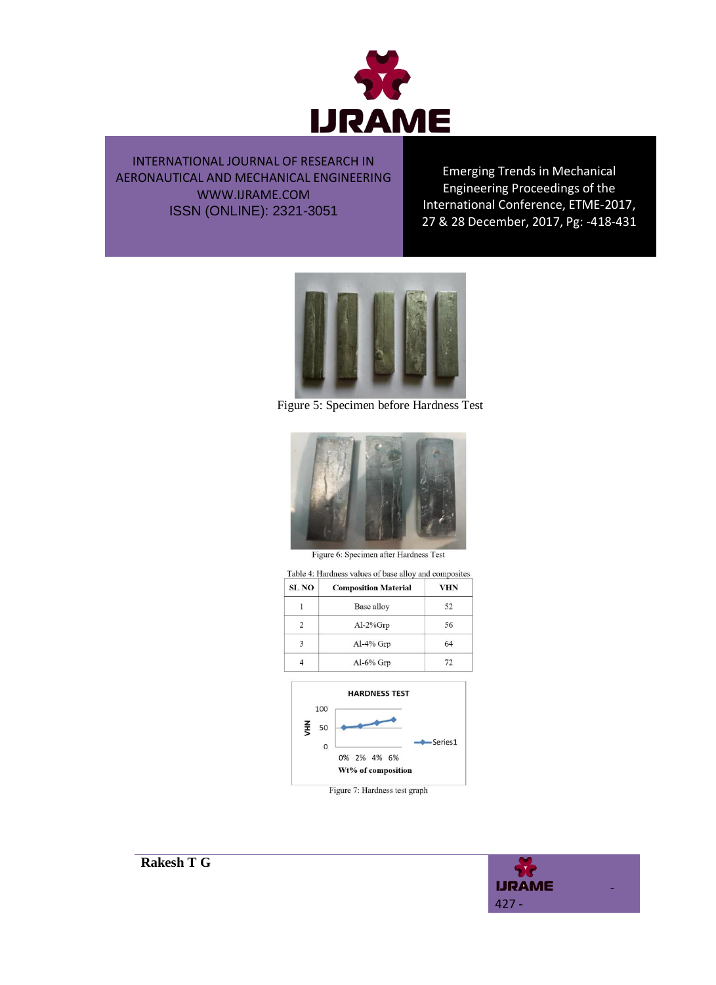

Emerging Trends in Mechanical Engineering Proceedings of the International Conference, ETME-2017, 27 & 28 December, 2017, Pg: -418-431



Figure 5: Specimen before Hardness Test



Figure 6: Specimen after Hardness Test

| <b>SL NO</b> | <b>Composition Material</b> | VHN |  |
|--------------|-----------------------------|-----|--|
|              | Base alloy                  | 52  |  |
|              | $Al-2\%Grp$                 | 56  |  |
| 3            | Al-4% Grp                   | 64  |  |
|              | Al-6% Grp                   | 72  |  |



Figure 7: Hardness test graph

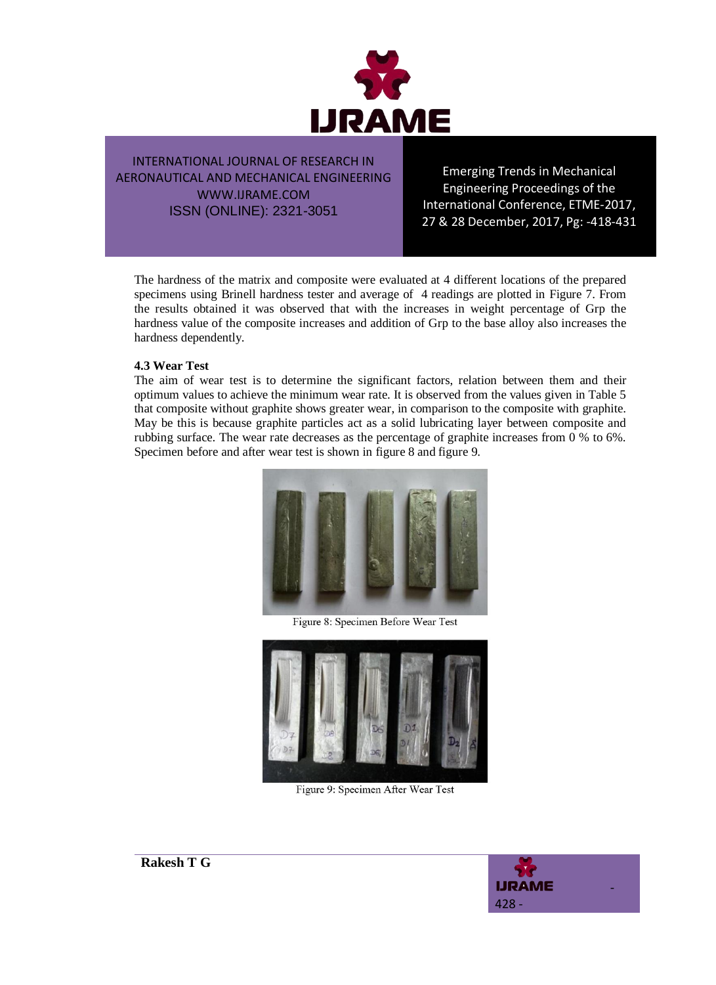

Emerging Trends in Mechanical Engineering Proceedings of the International Conference, ETME-2017, 27 & 28 December, 2017, Pg: -418-431

The hardness of the matrix and composite were evaluated at 4 different locations of the prepared specimens using Brinell hardness tester and average of 4 readings are plotted in Figure 7. From the results obtained it was observed that with the increases in weight percentage of Grp the hardness value of the composite increases and addition of Grp to the base alloy also increases the hardness dependently.

#### **4.3 Wear Test**

The aim of wear test is to determine the significant factors, relation between them and their optimum values to achieve the minimum wear rate. It is observed from the values given in Table 5 that composite without graphite shows greater wear, in comparison to the composite with graphite. May be this is because graphite particles act as a solid lubricating layer between composite and rubbing surface. The wear rate decreases as the percentage of graphite increases from 0 % to 6%. Specimen before and after wear test is shown in figure 8 and figure 9.



Figure 8: Specimen Before Wear Test



Figure 9: Specimen After Wear Test

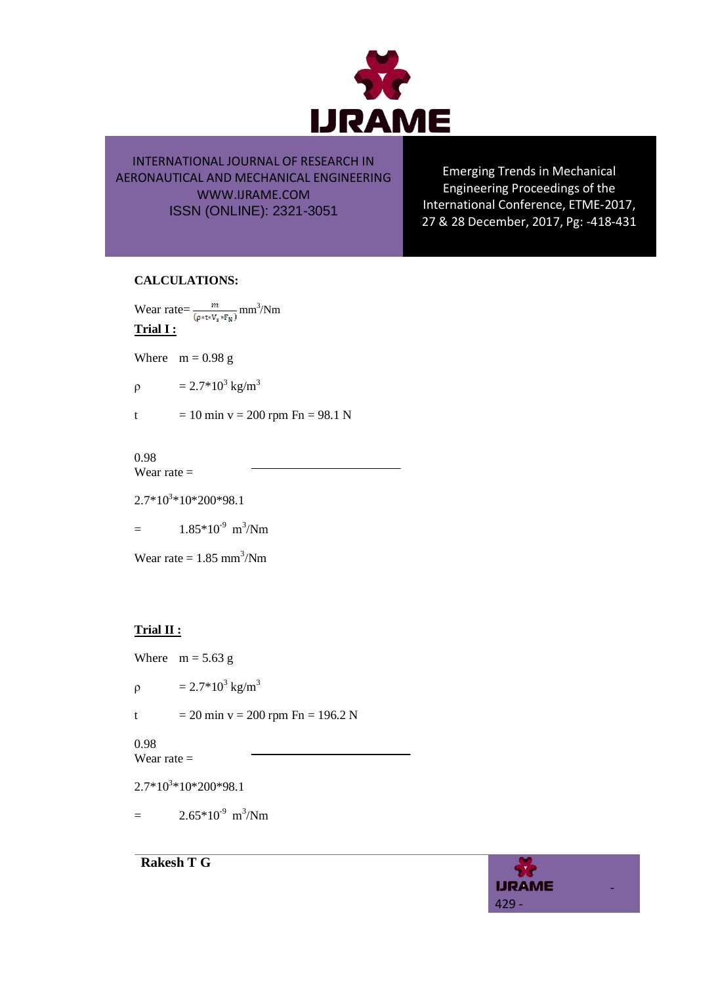

Emerging Trends in Mechanical Engineering Proceedings of the International Conference, ETME-2017, 27 & 28 December, 2017, Pg: -418-431

## **CALCULATIONS:**

Wear rate= $\frac{m}{(m+n)^2}$  mm<sup>3</sup>/Nm **Trial I :**

Where  $m = 0.98 g$ 

 $\rho = 2.7*10^3$  kg/m<sup>3</sup>

t = 10 min v = 200 rpm  $Fn = 98.1 N$ 

0.98 Wear rate  $=$ 

 $2.7*10<sup>3</sup>*10*200*98.1$ 

 $=$  1.85\*10<sup>-9</sup> m<sup>3</sup>/Nm

Wear rate  $= 1.85$  mm<sup>3</sup>/Nm

## **Trial II :**

Where  $m = 5.63$  g

 $\rho = 2.7*10^3$  kg/m<sup>3</sup>

t = 20 min v = 200 rpm Fn = 196.2 N

0.98

Wear rate  $=$ 

 $2.7*10<sup>3</sup>*10*200*98.1$ 

**Rakesh T G**

 $=$  2.65\*10<sup>-9</sup> m<sup>3</sup>/Nm

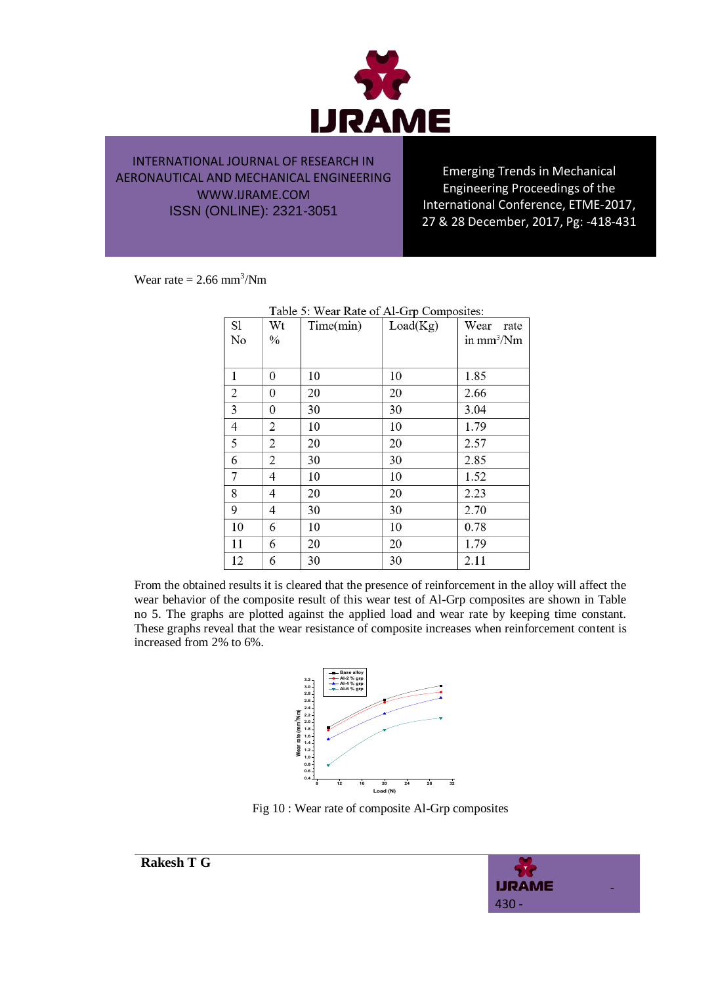

Emerging Trends in Mechanical Engineering Proceedings of the International Conference, ETME-2017, 27 & 28 December, 2017, Pg: -418-431

Wear rate  $= 2.66$  mm<sup>3</sup>/Nm

| Table 5: Wear Rate of Al-Grp Composites: |      |           |          |              |  |  |  |
|------------------------------------------|------|-----------|----------|--------------|--|--|--|
| S1                                       | Wt   | Time(min) | Load(Kg) | Wear<br>rate |  |  |  |
| No                                       | $\%$ |           |          | in $mm^3/Nm$ |  |  |  |
|                                          |      |           |          |              |  |  |  |
| 1                                        | 0    | 10        | 10       | 1.85         |  |  |  |
| 2                                        | 0    | 20        | 20       | 2.66         |  |  |  |
| 3                                        | 0    | 30        | 30       | 3.04         |  |  |  |
| 4                                        | 2    | 10        | 10       | 1.79         |  |  |  |
| 5                                        | 2    | 20        | 20       | 2.57         |  |  |  |
| 6                                        | 2    | 30        | 30       | 2.85         |  |  |  |
| 7                                        | 4    | 10        | 10       | 1.52         |  |  |  |
| 8                                        | 4    | 20        | 20       | 2.23         |  |  |  |
| 9                                        | 4    | 30        | 30       | 2.70         |  |  |  |
| 10                                       | 6    | 10        | 10       | 0.78         |  |  |  |
| 11                                       | 6    | 20        | 20       | 1.79         |  |  |  |
| 12                                       | 6    | 30        | 30       | 2.11         |  |  |  |

From the obtained results it is cleared that the presence of reinforcement in the alloy will affect the wear behavior of the composite result of this wear test of Al-Grp composites are shown in Table no 5. The graphs are plotted against the applied load and wear rate by keeping time constant. These graphs reveal that the wear resistance of composite increases when reinforcement content is increased from 2% to 6%.



Fig 10 : Wear rate of composite Al-Grp composites